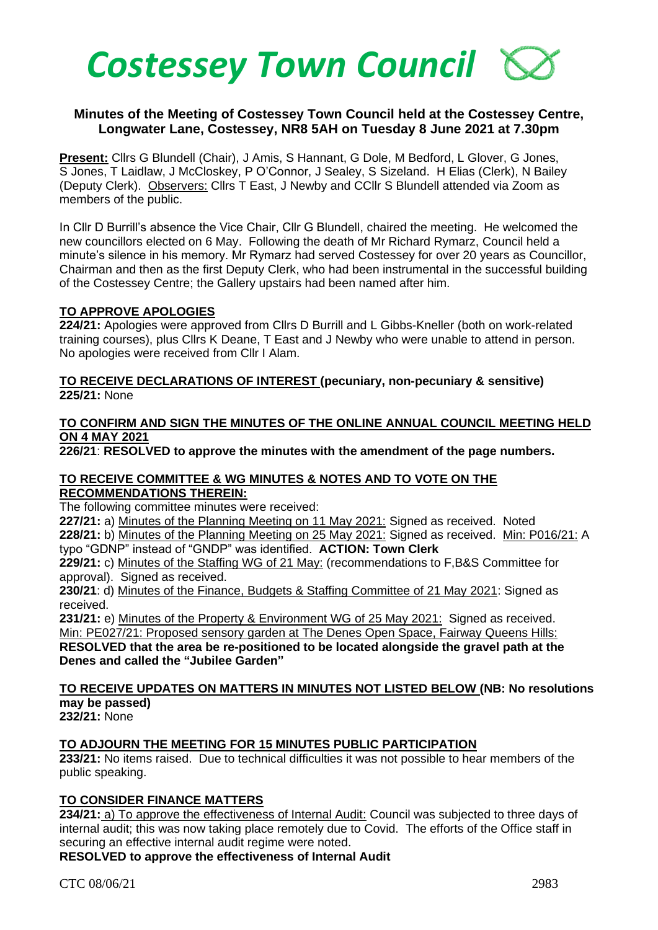

# **Minutes of the Meeting of Costessey Town Council held at the Costessey Centre, Longwater Lane, Costessey, NR8 5AH on Tuesday 8 June 2021 at 7.30pm**

**Present:** Cllrs G Blundell (Chair), J Amis, S Hannant, G Dole, M Bedford, L Glover, G Jones, S Jones, T Laidlaw, J McCloskey, P O'Connor, J Sealey, S Sizeland. H Elias (Clerk), N Bailey (Deputy Clerk). Observers: Cllrs T East, J Newby and CCllr S Blundell attended via Zoom as members of the public.

In Cllr D Burrill's absence the Vice Chair, Cllr G Blundell, chaired the meeting. He welcomed the new councillors elected on 6 May. Following the death of Mr Richard Rymarz, Council held a minute's silence in his memory. Mr Rymarz had served Costessey for over 20 years as Councillor, Chairman and then as the first Deputy Clerk, who had been instrumental in the successful building of the Costessey Centre; the Gallery upstairs had been named after him.

### **TO APPROVE APOLOGIES**

**224/21:** Apologies were approved from Cllrs D Burrill and L Gibbs-Kneller (both on work-related training courses), plus Cllrs K Deane, T East and J Newby who were unable to attend in person. No apologies were received from Cllr I Alam.

### **TO RECEIVE DECLARATIONS OF INTEREST (pecuniary, non-pecuniary & sensitive) 225/21:** None

#### **TO CONFIRM AND SIGN THE MINUTES OF THE ONLINE ANNUAL COUNCIL MEETING HELD ON 4 MAY 2021**

**226/21**: **RESOLVED to approve the minutes with the amendment of the page numbers.** 

#### **TO RECEIVE COMMITTEE & WG MINUTES & NOTES AND TO VOTE ON THE RECOMMENDATIONS THEREIN:**

The following committee minutes were received:

**227/21:** a) Minutes of the Planning Meeting on 11 May 2021: Signed as received. Noted

**228/21:** b) Minutes of the Planning Meeting on 25 May 2021: Signed as received. Min: P016/21: A typo "GDNP" instead of "GNDP" was identified. **ACTION: Town Clerk**

**229/21:** c) Minutes of the Staffing WG of 21 May: (recommendations to F,B&S Committee for approval). Signed as received.

**230/21**: d) Minutes of the Finance, Budgets & Staffing Committee of 21 May 2021: Signed as received.

**231/21:** e) Minutes of the Property & Environment WG of 25 May 2021: Signed as received. Min: PE027/21: Proposed sensory garden at The Denes Open Space, Fairway Queens Hills: **RESOLVED that the area be re-positioned to be located alongside the gravel path at the** 

**Denes and called the "Jubilee Garden"**

# **TO RECEIVE UPDATES ON MATTERS IN MINUTES NOT LISTED BELOW (NB: No resolutions may be passed)**

**232/21:** None

## **TO ADJOURN THE MEETING FOR 15 MINUTES PUBLIC PARTICIPATION**

**233/21:** No items raised. Due to technical difficulties it was not possible to hear members of the public speaking.

# **TO CONSIDER FINANCE MATTERS**

**234/21:** a) To approve the effectiveness of Internal Audit: Council was subjected to three days of internal audit; this was now taking place remotely due to Covid. The efforts of the Office staff in securing an effective internal audit regime were noted.

**RESOLVED to approve the effectiveness of Internal Audit**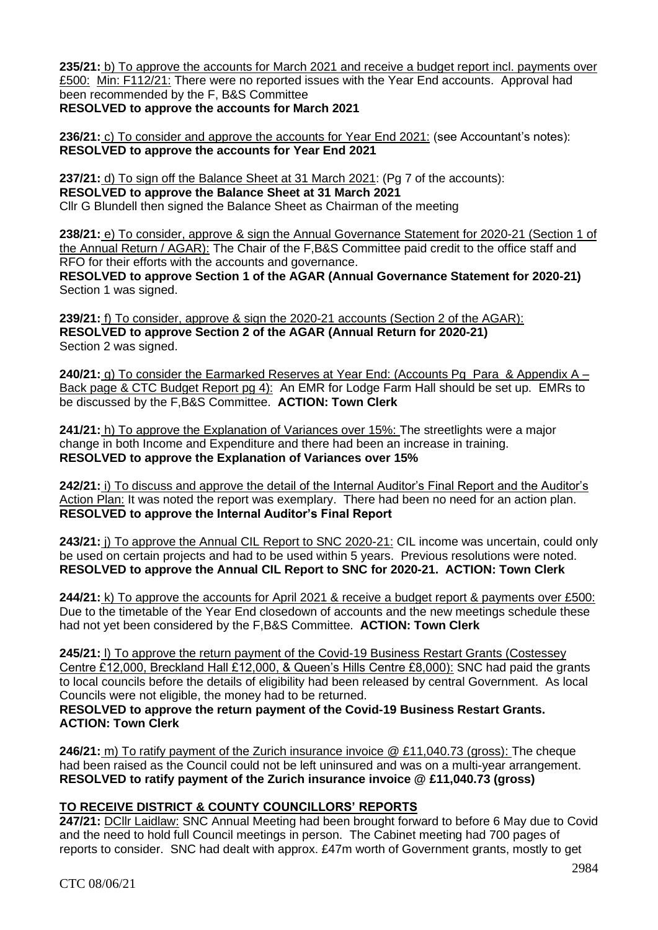**235/21:** b) To approve the accounts for March 2021 and receive a budget report incl. payments over £500: Min: F112/21: There were no reported issues with the Year End accounts. Approval had been recommended by the F, B&S Committee **RESOLVED to approve the accounts for March 2021**

**236/21:** c) To consider and approve the accounts for Year End 2021: (see Accountant's notes): **RESOLVED to approve the accounts for Year End 2021**

**237/21:** d) To sign off the Balance Sheet at 31 March 2021: (Pg 7 of the accounts): **RESOLVED to approve the Balance Sheet at 31 March 2021** Cllr G Blundell then signed the Balance Sheet as Chairman of the meeting

**238/21:** e) To consider, approve & sign the Annual Governance Statement for 2020-21 (Section 1 of the Annual Return / AGAR): The Chair of the F,B&S Committee paid credit to the office staff and RFO for their efforts with the accounts and governance.

**RESOLVED to approve Section 1 of the AGAR (Annual Governance Statement for 2020-21)** Section 1 was signed.

**239/21:** f) To consider, approve & sign the 2020-21 accounts (Section 2 of the AGAR): **RESOLVED to approve Section 2 of the AGAR (Annual Return for 2020-21)** Section 2 was signed.

**240/21:** g) To consider the Earmarked Reserves at Year End: (Accounts Pg Para & Appendix A – Back page & CTC Budget Report pg 4): An EMR for Lodge Farm Hall should be set up. EMRs to be discussed by the F,B&S Committee. **ACTION: Town Clerk**

**241/21:** h) To approve the Explanation of Variances over 15%: The streetlights were a major change in both Income and Expenditure and there had been an increase in training. **RESOLVED to approve the Explanation of Variances over 15%**

**242/21:** i) To discuss and approve the detail of the Internal Auditor's Final Report and the Auditor's Action Plan: It was noted the report was exemplary. There had been no need for an action plan. **RESOLVED to approve the Internal Auditor's Final Report**

**243/21:** j) To approve the Annual CIL Report to SNC 2020-21: CIL income was uncertain, could only be used on certain projects and had to be used within 5 years. Previous resolutions were noted. **RESOLVED to approve the Annual CIL Report to SNC for 2020-21. ACTION: Town Clerk**

**244/21:** k) To approve the accounts for April 2021 & receive a budget report & payments over £500: Due to the timetable of the Year End closedown of accounts and the new meetings schedule these had not yet been considered by the F,B&S Committee. **ACTION: Town Clerk**

**245/21:** l) To approve the return payment of the Covid-19 Business Restart Grants (Costessey Centre £12,000, Breckland Hall £12,000, & Queen's Hills Centre £8,000): SNC had paid the grants to local councils before the details of eligibility had been released by central Government. As local Councils were not eligible, the money had to be returned.

**RESOLVED to approve the return payment of the Covid-19 Business Restart Grants. ACTION: Town Clerk**

**246/21:** m) To ratify payment of the Zurich insurance invoice @ £11,040.73 (gross): The cheque had been raised as the Council could not be left uninsured and was on a multi-year arrangement. **RESOLVED to ratify payment of the Zurich insurance invoice @ £11,040.73 (gross)**

# **TO RECEIVE DISTRICT & COUNTY COUNCILLORS' REPORTS**

**247/21:** DCllr Laidlaw: SNC Annual Meeting had been brought forward to before 6 May due to Covid and the need to hold full Council meetings in person. The Cabinet meeting had 700 pages of reports to consider. SNC had dealt with approx. £47m worth of Government grants, mostly to get